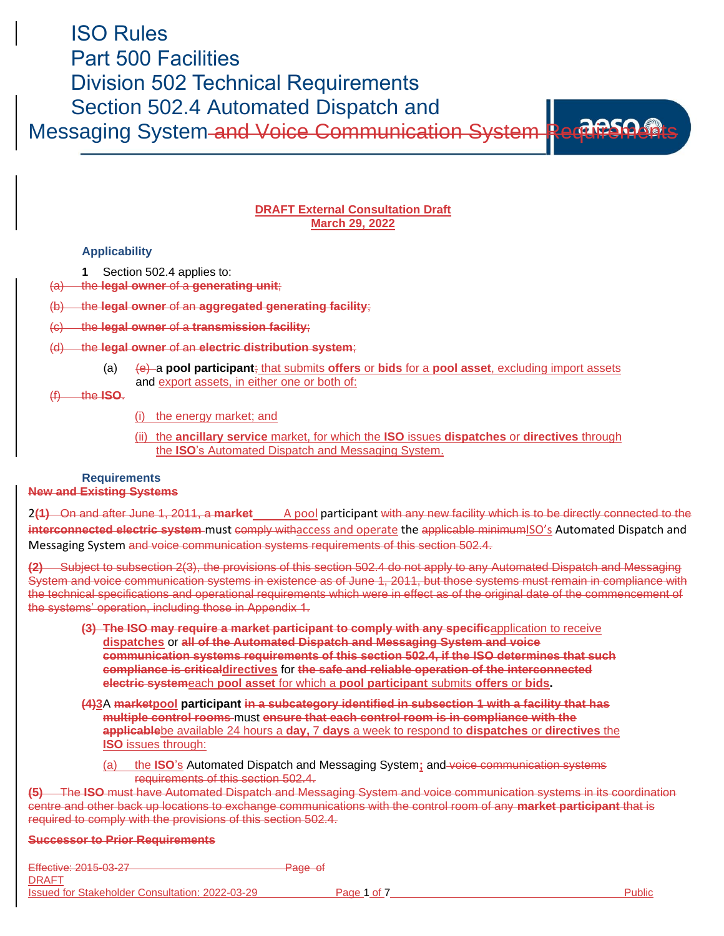# ISO Rules Part 500 Facilities Division 502 Technical Requirements Section 502.4 Automated Dispatch and

Messaging System and Voice Communication System Requirement

## **DRAFT External Consultation Draft March 29, 2022**

## **Applicability**

- **1** Section 502.4 applies to:
- (a) the **legal owner** of a **generating unit**;
- (b) the **legal owner** of an **aggregated generating facility**;
- (c) the **legal owner** of a **transmission facility**;
- (d) the **legal owner** of an **electric distribution system**;
	- (a) (e) a **pool participant**; that submits **offers** or **bids** for a **pool asset**, excluding import assets and export assets, in either one or both of:

### (f) the **ISO**.

(i) the energy market; and

(ii) the **ancillary service** market, for which the **ISO** issues **dispatches** or **directives** through the **ISO**'s Automated Dispatch and Messaging System.

#### **Requirements New and Existing Systems**

2(1) On and after June 1, 2011, a market A pool participant with any new facility which is to be directly connected to the **interconnected electric system** must comply withaccess and operate the applicable minimumISO's Automated Dispatch and Messaging System and voice communication systems requirements of this section 502.4.

**(2)** Subject to subsection 2(3), the provisions of this section 502.4 do not apply to any Automated Dispatch and Messaging System and voice communication systems in existence as of June 1, 2011, but those systems must remain in compliance with the technical specifications and operational requirements which were in effect as of the original date of the commencement of the systems' operation, including those in Appendix 1.

- **(3) The ISO may require a market participant to comply with any specific**application to receive **dispatches** or **all of the Automated Dispatch and Messaging System and voice communication systems requirements of this section 502.4, if the ISO determines that such compliance is criticaldirectives** for **the safe and reliable operation of the interconnected electric system**each **pool asset** for which a **pool participant** submits **offers** or **bids.**
- **(4)3**A **marketpool participant in a subcategory identified in subsection 1 with a facility that has multiple control rooms** must **ensure that each control room is in compliance with the applicable**be available 24 hours a **day,** 7 **days** a week to respond to **dispatches** or **directives** the **ISO** issues through:
	- (a) the **ISO**'s Automated Dispatch and Messaging System**;** and voice communication systems requirements of this section 502.4.

**(5)** The **ISO** must have Automated Dispatch and Messaging System and voice communication systems in its coordination centre and other back up locations to exchange communications with the control room of any **market participant** that is required to comply with the provisions of this section 502.4.

#### **Successor to Prior Requirements**

Effective: 2015-03-27 Page of DRAFT Issued for Stakeholder Consultation: 2022-03-29 Page 1 of 7 Public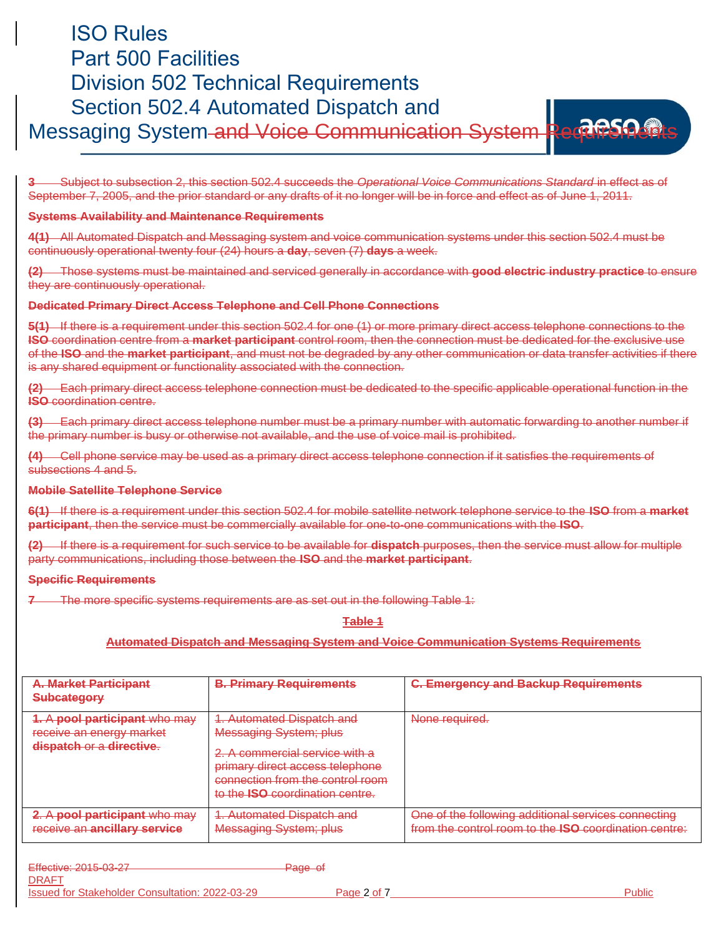# ISO Rules Part 500 Facilities Division 502 Technical Requirements Section 502.4 Automated Dispatch and Messaging System and Voice Communication System Requirement



**3** Subject to subsection 2, this section 502.4 succeeds the *Operational Voice Communications Standard* in effect as of September 7, 2005, and the prior standard or any drafts of it no longer will be in force and effect as of June 1, 2011.

#### **Systems Availability and Maintenance Requirements**

**4(1)** All Automated Dispatch and Messaging system and voice communication systems under this section 502.4 must be continuously operational twenty four (24) hours a **day**, seven (7) **days** a week.

**(2)** Those systems must be maintained and serviced generally in accordance with **good electric industry practice** to ensure they are continuously operational.

#### **Dedicated Primary Direct Access Telephone and Cell Phone Connections**

**5(1)** If there is a requirement under this section 502.4 for one (1) or more primary direct access telephone connections to the **ISO** coordination centre from a **market participant** control room, then the connection must be dedicated for the exclusive use of the **ISO** and the **market participant**, and must not be degraded by any other communication or data transfer activities if there is any shared equipment or functionality associated with the connection.

**(2)** Each primary direct access telephone connection must be dedicated to the specific applicable operational function in the **ISO** coordination centre.

**(3)** Each primary direct access telephone number must be a primary number with automatic forwarding to another number if the primary number is busy or otherwise not available, and the use of voice mail is prohibited.

**(4)** Cell phone service may be used as a primary direct access telephone connection if it satisfies the requirements of subsections 4 and 5.

#### **Mobile Satellite Telephone Service**

**6(1)** If there is a requirement under this section 502.4 for mobile satellite network telephone service to the **ISO** from a **market participant**, then the service must be commercially available for one-to-one communications with the **ISO**.

**(2)** If there is a requirement for such service to be available for **dispatch** purposes, then the service must allow for multiple party communications, including those between the **ISO** and the **market participant**.

#### **Specific Requirements**

**7** The more specific systems requirements are as set out in the following Table 1:

#### **Table 1**

#### **Automated Dispatch and Messaging System and Voice Communication Systems Requirements**

| <b>A. Market Participant</b><br><del>Subcategory</del>                                | <b>B. Primary Requirements</b>                                                                                                                                                                                | <b>C. Emergency and Backup Requirements</b>                                                                         |
|---------------------------------------------------------------------------------------|---------------------------------------------------------------------------------------------------------------------------------------------------------------------------------------------------------------|---------------------------------------------------------------------------------------------------------------------|
| 1. A pool participant who may<br>receive an energy market<br>dispatch or a directive. | 1. Automated Dispatch and<br><b>Messaging System; plus</b><br>2. A commercial service with a<br>primary direct access telephone<br>connection from the control room<br>to the <b>ISO</b> coordination centre. | None required.                                                                                                      |
| 2. A pool participant who may<br>receive an ancillary service                         | 1. Automated Dispatch and<br><b>Messaging System; plus</b>                                                                                                                                                    | One of the following additional services connecting<br>from the control room to the <b>ISO</b> coordination centre: |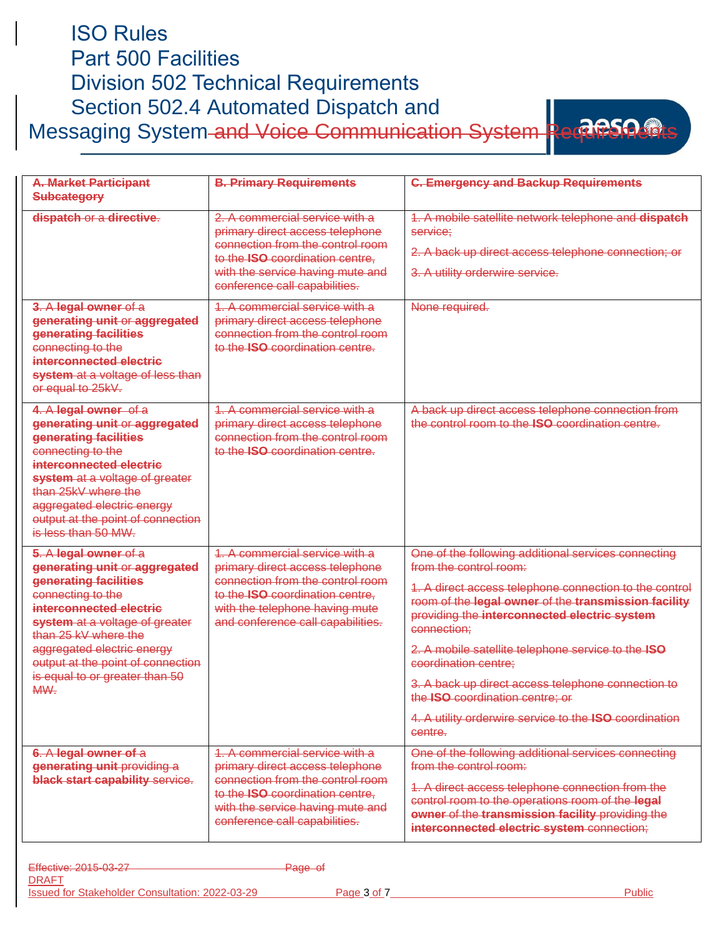| <b>Division 502 Technical Requirements</b><br>Section 502.4 Automated Dispatch and                                                                                                                                                                                                                    |                                                                                                                                                                                                                      |                                                                                                                                                                                                                                                                                                                                                                                                                                                                                                            |  |  |  |
|-------------------------------------------------------------------------------------------------------------------------------------------------------------------------------------------------------------------------------------------------------------------------------------------------------|----------------------------------------------------------------------------------------------------------------------------------------------------------------------------------------------------------------------|------------------------------------------------------------------------------------------------------------------------------------------------------------------------------------------------------------------------------------------------------------------------------------------------------------------------------------------------------------------------------------------------------------------------------------------------------------------------------------------------------------|--|--|--|
| Messaging System and Voice Communication System Rectives                                                                                                                                                                                                                                              |                                                                                                                                                                                                                      |                                                                                                                                                                                                                                                                                                                                                                                                                                                                                                            |  |  |  |
| <b>A. Market Participant</b><br><b>Subcategory</b>                                                                                                                                                                                                                                                    | <b>B. Primary Requirements</b>                                                                                                                                                                                       | <b>C. Emergency and Backup Requirements</b>                                                                                                                                                                                                                                                                                                                                                                                                                                                                |  |  |  |
| dispatch or a directive.                                                                                                                                                                                                                                                                              | 2. A commercial service with a<br>primary direct access telephone<br>connection from the control room<br>to the <b>ISO</b> coordination centre.<br>with the service having mute and<br>conference call capabilities. | 1. A mobile satellite network telephone and dispatch<br>service:<br>2. A back up direct access telephone connection; or<br>3. A utility orderwire service.                                                                                                                                                                                                                                                                                                                                                 |  |  |  |
| 3. A legal owner of a<br>generating unit or aggregated<br>generating facilities<br>connecting to the<br>interconnected electric<br>system at a voltage of less than<br>or equal to 25kV.                                                                                                              | 1. A commercial service with a<br>primary direct access telephone<br>connection from the control room<br>to the <b>ISO</b> coordination centre.                                                                      | None required.                                                                                                                                                                                                                                                                                                                                                                                                                                                                                             |  |  |  |
| 4. A legal owner of a<br>generating unit or aggregated<br>generating facilities<br>connecting to the<br>interconnected electric<br>system at a voltage of greater<br>than 25kV where the<br>aggregated electric energy<br>output at the point of connection<br>is less than 50 MW.                    | 1. A commercial service with a<br>primary direct access telephone<br>connection from the control room<br>to the <b>ISO</b> coordination centre.                                                                      | A back up direct access telephone connection from<br>the control room to the <b>ISO</b> coordination centre.                                                                                                                                                                                                                                                                                                                                                                                               |  |  |  |
| 5. A legal owner of a<br>generating unit or aggregated<br>generating facilities<br>connecting to the<br>interconnected electric<br>system at a voltage of greater<br>than 25 kV where the<br>aggregated electric energy<br>output at the point of connection<br>is equal to or greater than 50<br>MW. | 1. A commercial service with a<br>primary direct access telephone<br>connection from the control room<br>to the ISO coordination centre.<br>with the telephone having mute<br>and conference call capabilities.      | One of the following additional services connecting<br>from the control room:<br>1. A direct access telephone connection to the control<br>room of the legal owner of the transmission facility<br>providing the interconnected electric system<br>connection;<br>2. A mobile satellite telephone service to the ISO<br>coordination centre;<br>3. A back up direct access telephone connection to<br>the ISO coordination centre; or<br>4. A utility orderwire service to the ISO coordination<br>centre. |  |  |  |
| 6. A legal owner of a<br>generating unit providing a<br>black start capability service.                                                                                                                                                                                                               | 1. A commercial service with a<br>primary direct access telephone<br>connection from the control room<br>to the ISO coordination centre.<br>with the service having mute and<br>conference call capabilities.        | One of the following additional services connecting<br>from the control room:<br>1. A direct access telephone connection from the<br>control room to the operations room of the legal<br>owner of the transmission facility providing the<br>interconnected electric system connection;                                                                                                                                                                                                                    |  |  |  |

ISO Rules

Part 500 Facilities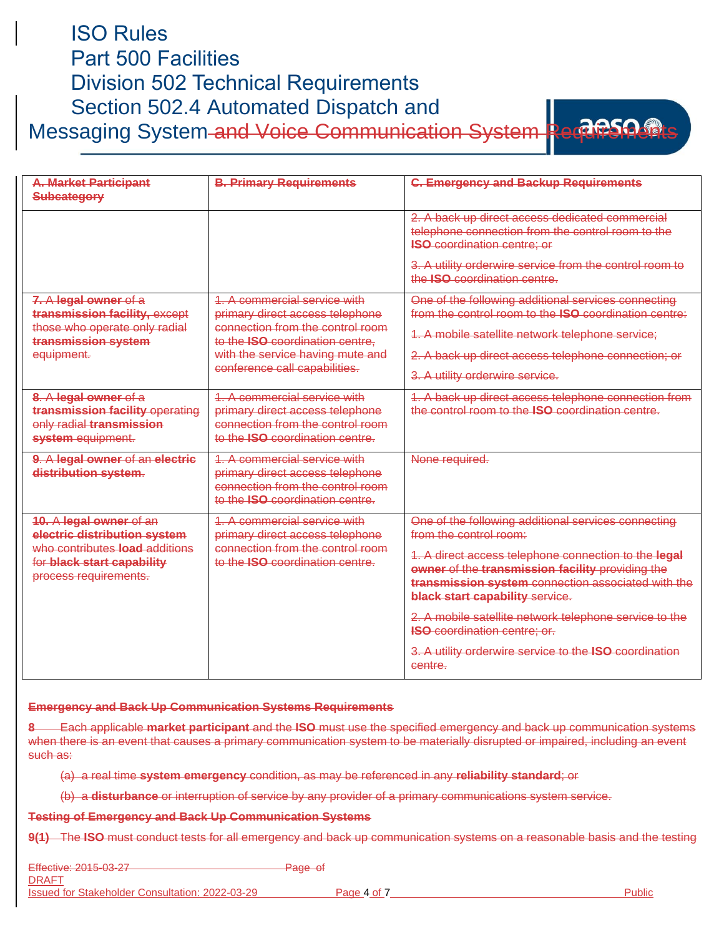## ISO Rules Part 500 Facilities Division 502 Technical Requirements Section 502.4 Automated Dispatch and Messaging System and Voice Communication System Requirer



| <b>A. Market Participant</b><br>Subcategory                                                                                                             | <b>B. Primary Requirements</b>                                                                                                                                                                                    | <b>C. Emergency and Backup Requirements</b>                                                                                                                                                                                                                                                                                                                                                                                                                     |
|---------------------------------------------------------------------------------------------------------------------------------------------------------|-------------------------------------------------------------------------------------------------------------------------------------------------------------------------------------------------------------------|-----------------------------------------------------------------------------------------------------------------------------------------------------------------------------------------------------------------------------------------------------------------------------------------------------------------------------------------------------------------------------------------------------------------------------------------------------------------|
|                                                                                                                                                         |                                                                                                                                                                                                                   | 2. A back up direct access dedicated commercial<br>telephone connection from the control room to the<br><b>ISO</b> coordination centre; or<br>3. A utility orderwire service from the control room to<br>the <b>ISO</b> coordination centre.                                                                                                                                                                                                                    |
| 7. A legal owner of a<br>transmission facility, except<br>those who operate only radial<br>transmission system<br>equipment.                            | 1 A commercial service with<br>primary direct access telephone<br>connection from the control room<br>to the <b>ISO</b> coordination centre.<br>with the service having mute and<br>conference call capabilities. | One of the following additional services connecting<br>from the control room to the ISO coordination centre:<br>1. A mobile satellite network telephone service;<br>2. A back up direct access telephone connection; or<br>3. A utility orderwire service.                                                                                                                                                                                                      |
| 8. A legal owner of a<br>transmission facility operating<br>only radial transmission<br>system equipment.                                               | 1 A commercial service with<br>primary direct access telephone<br>connection from the control room<br>to the <b>ISO</b> coordination centre.                                                                      | 1. A back up direct access telephone connection from<br>the control room to the <b>ISO</b> coordination centre                                                                                                                                                                                                                                                                                                                                                  |
| 9. A legal owner of an electric<br>distribution system.                                                                                                 | 1. A commercial service with<br>primary direct access telephone<br>connection from the control room<br>to the <b>ISO</b> coordination centre                                                                      | None required.                                                                                                                                                                                                                                                                                                                                                                                                                                                  |
| 10. A legal owner of an<br>electric distribution system<br>who contributes <b>load</b> additions<br>for black start capability<br>process requirements. | 1 A commercial service with<br>primary direct access telephone<br>connection from the control room<br>to the <b>ISO</b> coordination centre.                                                                      | One of the following additional services connecting<br>from the control room:<br>1. A direct access telephone connection to the legal<br>owner of the transmission facility providing the<br>transmission system connection associated with the<br><b>black start capability service.</b><br>2. A mobile satellite network telephone service to the<br><b>ISO</b> coordination centre; or.<br>3. A utility orderwire service to the ISO coordination<br>centre. |

#### **Emergency and Back Up Communication Systems Requirements**

**8** Each applicable **market participant** and the **ISO** must use the specified emergency and back up communication systems when there is an event that causes a primary communication system to be materially disrupted or impaired, including an event such as:

(a) a real time **system emergency** condition, as may be referenced in any **reliability standard**; or

(b) a **disturbance** or interruption of service by any provider of a primary communications system service.

**Testing of Emergency and Back Up Communication Systems**

**9(1)** The **ISO** must conduct tests for all emergency and back up communication systems on a reasonable basis and the testing

Effective: 2015-03-27 **Page of** Page of

DRAFT Issued for Stakeholder Consultation: 2022-03-29 Page 4 of 7 Public Public Public Public Public Public Public Public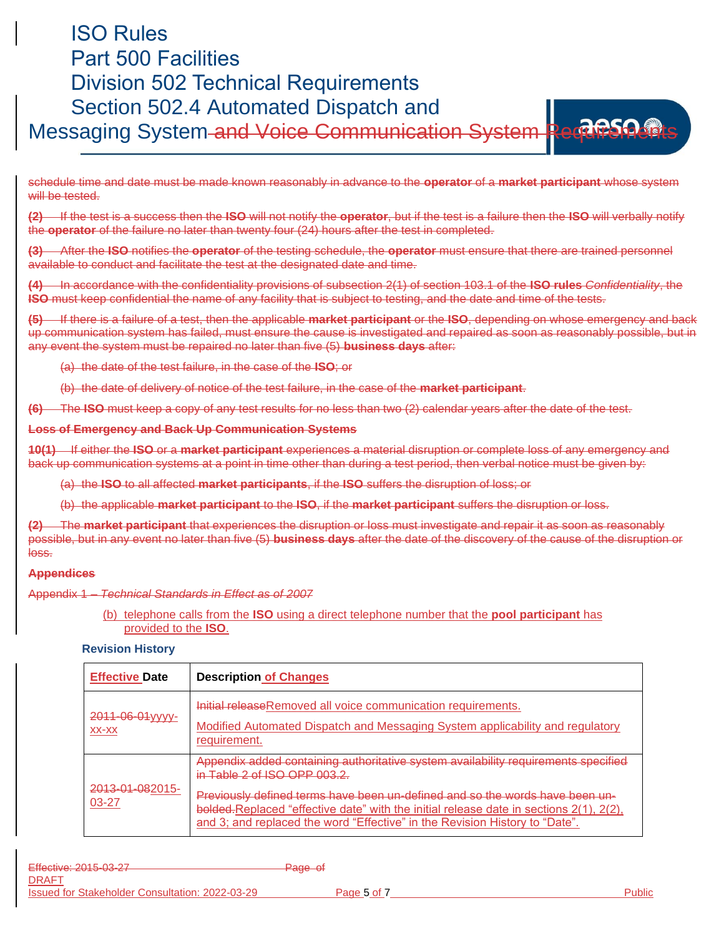# ISO Rules Part 500 Facilities Division 502 Technical Requirements Section 502.4 Automated Dispatch and Messaging System and Voice Communication System Requirents



schedule time and date must be made known reasonably in advance to the **operator** of a **market participant** whose system will be tested.

**(2)** If the test is a success then the **ISO** will not notify the **operator**, but if the test is a failure then the **ISO** will verbally notify the **operator** of the failure no later than twenty four (24) hours after the test in completed.

**(3)** After the **ISO** notifies the **operator** of the testing schedule, the **operator** must ensure that there are trained personnel available to conduct and facilitate the test at the designated date and time.

**(4)** In accordance with the confidentiality provisions of subsection 2(1) of section 103.1 of the **ISO rules** *Confidentiality*, the **ISO** must keep confidential the name of any facility that is subject to testing, and the date and time of the tests.

**(5)** If there is a failure of a test, then the applicable **market participant** or the **ISO**, depending on whose emergency and back up communication system has failed, must ensure the cause is investigated and repaired as soon as reasonably possible, but in any event the system must be repaired no later than five (5) **business days** after:

(a) the date of the test failure, in the case of the **ISO**; or

(b) the date of delivery of notice of the test failure, in the case of the **market participant**.

**(6)** The **ISO** must keep a copy of any test results for no less than two (2) calendar years after the date of the test.

#### **Loss of Emergency and Back Up Communication Systems**

**10(1)** If either the **ISO** or a **market participant** experiences a material disruption or complete loss of any emergency and back up communication systems at a point in time other than during a test period, then verbal notice must be given by:

(a) the **ISO** to all affected **market participants**, if the **ISO** suffers the disruption of loss; or

(b) the applicable **market participant** to the **ISO**, if the **market participant** suffers the disruption or loss.

**(2)** The **market participant** that experiences the disruption or loss must investigate and repair it as soon as reasonably possible, but in any event no later than five (5) **business days** after the date of the discovery of the cause of the disruption or loss.

#### **Appendices**

Appendix 1 – *Technical Standards in Effect as of 2007*

(b) telephone calls from the **ISO** using a direct telephone number that the **pool participant** has provided to the **ISO**.

#### **Revision History**

| <b>Effective Date</b>    | <b>Description of Changes</b>                                                                                                                                                                                                                                                                                                                                               |
|--------------------------|-----------------------------------------------------------------------------------------------------------------------------------------------------------------------------------------------------------------------------------------------------------------------------------------------------------------------------------------------------------------------------|
| 2011-06-01yyyy-<br>XX-XX | Initial release Removed all voice communication requirements.<br>Modified Automated Dispatch and Messaging System applicability and regulatory<br>requirement.                                                                                                                                                                                                              |
| 2013-01-082015-<br>03-27 | Appendix added containing authoritative system availability requirements specified<br>in Table 2 of ISO OPP 003 2<br>Previously defined terms have been un-defined and so the words have been un-<br>bolded. Replaced "effective date" with the initial release date in sections 2(1), 2(2),<br>and 3; and replaced the word "Effective" in the Revision History to "Date". |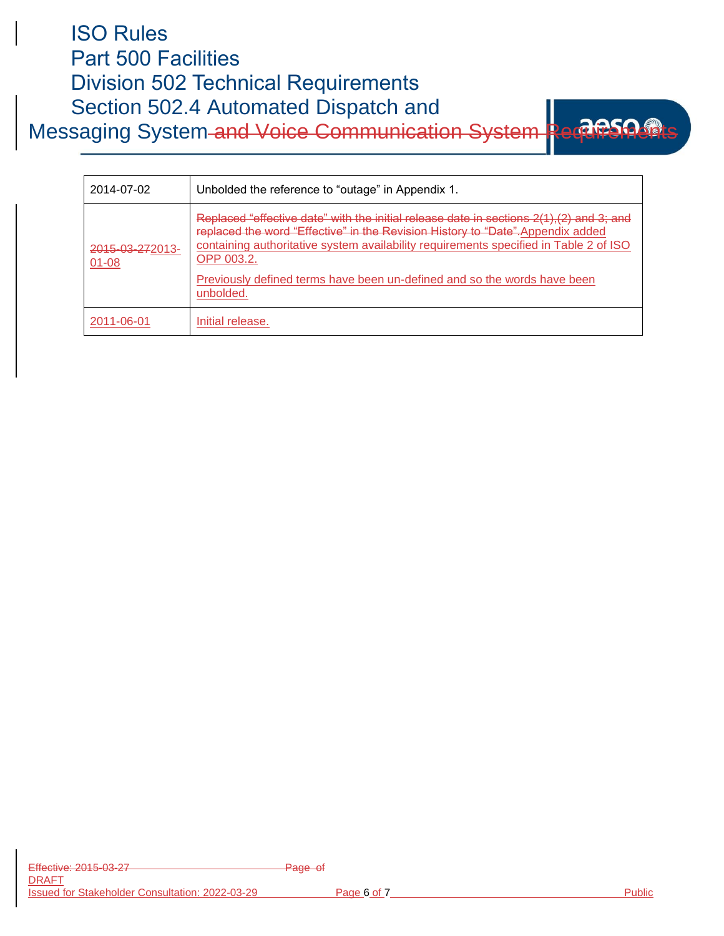# ISO Rules Part 500 Facilities Division 502 Technical Requirements Section 502.4 Automated Dispatch and Messaging System and Voice Communication System Requirement



| 2014-07-02                   | Unbolded the reference to "outage" in Appendix 1.                                                                                                                                                                                                                                                                                                                          |
|------------------------------|----------------------------------------------------------------------------------------------------------------------------------------------------------------------------------------------------------------------------------------------------------------------------------------------------------------------------------------------------------------------------|
| 2015-03-272013-<br>$01 - 08$ | Replaced "effective date" with the initial release date in sections 2(1),(2) and 3; and<br>replaced the word "Effective" in the Revision History to "Date". Appendix added<br>containing authoritative system availability requirements specified in Table 2 of ISO<br>OPP 003.2.<br>Previously defined terms have been un-defined and so the words have been<br>unbolded. |
| 2011-06-01                   | Initial release.                                                                                                                                                                                                                                                                                                                                                           |